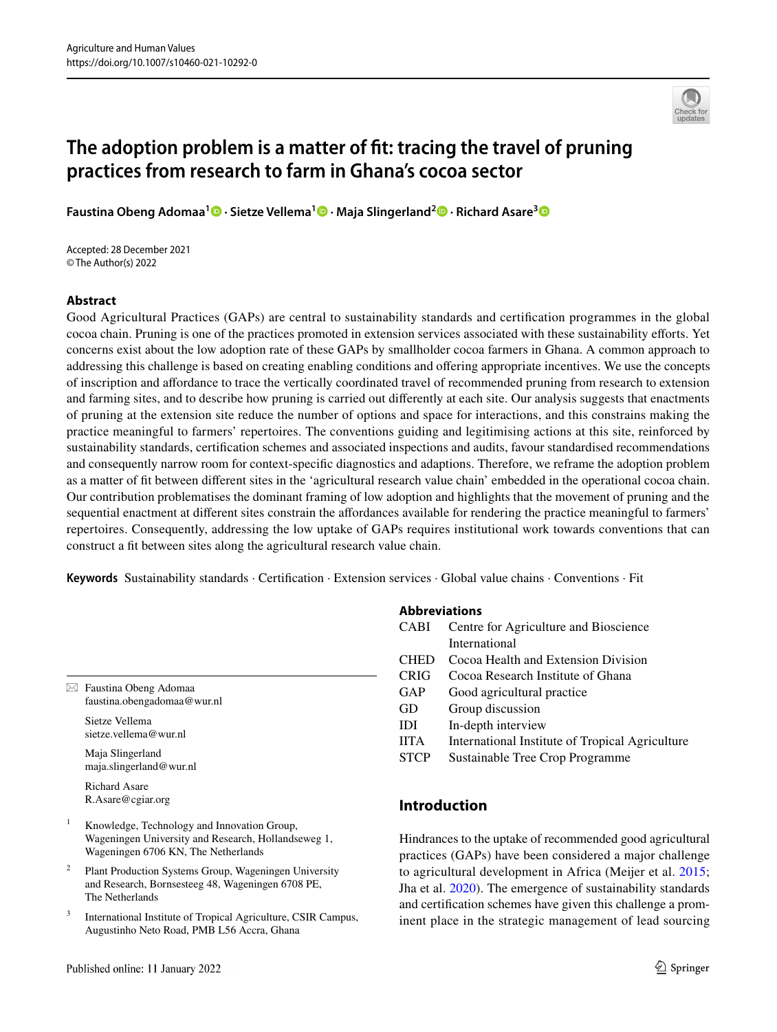

# **The adoption problem is a matter of ft: tracing the travel of pruning practices from research to farm in Ghana's cocoa sector**

**Faustina Obeng Adomaa1 · Sietze Vellema1 · Maja Slingerland2 · Richard Asare[3](https://orcid.org/0000-0002-5557-9190)**

Accepted: 28 December 2021 © The Author(s) 2022

## **Abstract**

Good Agricultural Practices (GAPs) are central to sustainability standards and certifcation programmes in the global cocoa chain. Pruning is one of the practices promoted in extension services associated with these sustainability eforts. Yet concerns exist about the low adoption rate of these GAPs by smallholder cocoa farmers in Ghana. A common approach to addressing this challenge is based on creating enabling conditions and ofering appropriate incentives. We use the concepts of inscription and afordance to trace the vertically coordinated travel of recommended pruning from research to extension and farming sites, and to describe how pruning is carried out diferently at each site. Our analysis suggests that enactments of pruning at the extension site reduce the number of options and space for interactions, and this constrains making the practice meaningful to farmers' repertoires. The conventions guiding and legitimising actions at this site, reinforced by sustainability standards, certifcation schemes and associated inspections and audits, favour standardised recommendations and consequently narrow room for context-specifc diagnostics and adaptions. Therefore, we reframe the adoption problem as a matter of ft between diferent sites in the 'agricultural research value chain' embedded in the operational cocoa chain. Our contribution problematises the dominant framing of low adoption and highlights that the movement of pruning and the sequential enactment at diferent sites constrain the afordances available for rendering the practice meaningful to farmers' repertoires. Consequently, addressing the low uptake of GAPs requires institutional work towards conventions that can construct a ft between sites along the agricultural research value chain.

**Keywords** Sustainability standards · Certifcation · Extension services · Global value chains · Conventions · Fit

| $\boxtimes$ Faustina Obeng Adomaa |
|-----------------------------------|
| faustina.obengadomaa@wur.nl       |

Sietze Vellema sietze.vellema@wur.nl

Maja Slingerland maja.slingerland@wur.nl

Richard Asare R.Asare@cgiar.org

- <sup>1</sup> Knowledge, Technology and Innovation Group, Wageningen University and Research, Hollandseweg 1, Wageningen 6706 KN, The Netherlands
- <sup>2</sup> Plant Production Systems Group, Wageningen University and Research, Bornsesteeg 48, Wageningen 6708 PE, The Netherlands
- International Institute of Tropical Agriculture, CSIR Campus, Augustinho Neto Road, PMB L56 Accra, Ghana

## **Abbreviations**

| CABI        | Centre for Agriculture and Bioscience           |
|-------------|-------------------------------------------------|
|             | International                                   |
| <b>CHED</b> | Cocoa Health and Extension Division             |
| <b>CRIG</b> | Cocoa Research Institute of Ghana               |
| GAP         | Good agricultural practice                      |
| GD          | Group discussion                                |
| IDI         | In-depth interview                              |
| <b>IITA</b> | International Institute of Tropical Agriculture |
| <b>STCP</b> | Sustainable Tree Crop Programme                 |
|             |                                                 |
|             |                                                 |

## **Introduction**

Hindrances to the uptake of recommended good agricultural practices (GAPs) have been considered a major challenge to agricultural development in Africa (Meijer et al. [2015](#page-14-0); Jha et al. [2020\)](#page-13-0). The emergence of sustainability standards and certifcation schemes have given this challenge a prominent place in the strategic management of lead sourcing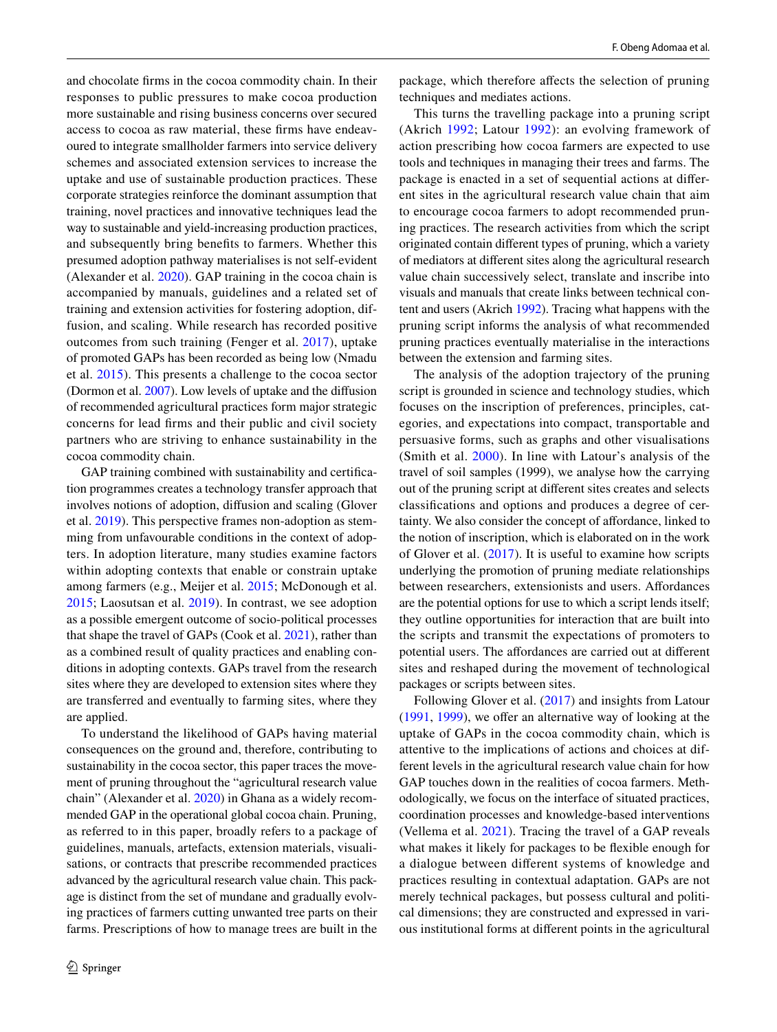and chocolate frms in the cocoa commodity chain. In their responses to public pressures to make cocoa production more sustainable and rising business concerns over secured access to cocoa as raw material, these frms have endeavoured to integrate smallholder farmers into service delivery schemes and associated extension services to increase the uptake and use of sustainable production practices. These corporate strategies reinforce the dominant assumption that training, novel practices and innovative techniques lead the way to sustainable and yield-increasing production practices, and subsequently bring benefts to farmers. Whether this presumed adoption pathway materialises is not self-evident (Alexander et al. [2020](#page-13-1)). GAP training in the cocoa chain is accompanied by manuals, guidelines and a related set of training and extension activities for fostering adoption, diffusion, and scaling. While research has recorded positive outcomes from such training (Fenger et al. [2017\)](#page-13-2), uptake of promoted GAPs has been recorded as being low (Nmadu et al. [2015\)](#page-14-1). This presents a challenge to the cocoa sector (Dormon et al. [2007\)](#page-13-3). Low levels of uptake and the difusion of recommended agricultural practices form major strategic concerns for lead frms and their public and civil society partners who are striving to enhance sustainability in the cocoa commodity chain.

GAP training combined with sustainability and certifcation programmes creates a technology transfer approach that involves notions of adoption, difusion and scaling (Glover et al. [2019](#page-13-4)). This perspective frames non-adoption as stemming from unfavourable conditions in the context of adopters. In adoption literature, many studies examine factors within adopting contexts that enable or constrain uptake among farmers (e.g., Meijer et al. [2015](#page-14-0); McDonough et al. [2015](#page-14-2); Laosutsan et al. [2019\)](#page-14-3). In contrast, we see adoption as a possible emergent outcome of socio-political processes that shape the travel of GAPs (Cook et al. [2021](#page-13-5)), rather than as a combined result of quality practices and enabling conditions in adopting contexts. GAPs travel from the research sites where they are developed to extension sites where they are transferred and eventually to farming sites, where they are applied.

To understand the likelihood of GAPs having material consequences on the ground and, therefore, contributing to sustainability in the cocoa sector, this paper traces the movement of pruning throughout the "agricultural research value chain" (Alexander et al. [2020\)](#page-13-1) in Ghana as a widely recommended GAP in the operational global cocoa chain. Pruning, as referred to in this paper, broadly refers to a package of guidelines, manuals, artefacts, extension materials, visualisations, or contracts that prescribe recommended practices advanced by the agricultural research value chain. This package is distinct from the set of mundane and gradually evolving practices of farmers cutting unwanted tree parts on their farms. Prescriptions of how to manage trees are built in the

package, which therefore afects the selection of pruning techniques and mediates actions.

This turns the travelling package into a pruning script (Akrich [1992;](#page-13-6) Latour [1992\)](#page-14-4): an evolving framework of action prescribing how cocoa farmers are expected to use tools and techniques in managing their trees and farms. The package is enacted in a set of sequential actions at diferent sites in the agricultural research value chain that aim to encourage cocoa farmers to adopt recommended pruning practices. The research activities from which the script originated contain diferent types of pruning, which a variety of mediators at diferent sites along the agricultural research value chain successively select, translate and inscribe into visuals and manuals that create links between technical content and users (Akrich [1992](#page-13-6)). Tracing what happens with the pruning script informs the analysis of what recommended pruning practices eventually materialise in the interactions between the extension and farming sites.

The analysis of the adoption trajectory of the pruning script is grounded in science and technology studies, which focuses on the inscription of preferences, principles, categories, and expectations into compact, transportable and persuasive forms, such as graphs and other visualisations (Smith et al. [2000\)](#page-14-5). In line with Latour's analysis of the travel of soil samples (1999), we analyse how the carrying out of the pruning script at diferent sites creates and selects classifcations and options and produces a degree of certainty. We also consider the concept of affordance, linked to the notion of inscription, which is elaborated on in the work of Glover et al. [\(2017\)](#page-13-7). It is useful to examine how scripts underlying the promotion of pruning mediate relationships between researchers, extensionists and users. Affordances are the potential options for use to which a script lends itself; they outline opportunities for interaction that are built into the scripts and transmit the expectations of promoters to potential users. The afordances are carried out at diferent sites and reshaped during the movement of technological packages or scripts between sites.

Following Glover et al. [\(2017\)](#page-13-7) and insights from Latour ([1991,](#page-14-6) [1999](#page-14-7)), we offer an alternative way of looking at the uptake of GAPs in the cocoa commodity chain, which is attentive to the implications of actions and choices at different levels in the agricultural research value chain for how GAP touches down in the realities of cocoa farmers. Methodologically, we focus on the interface of situated practices, coordination processes and knowledge-based interventions (Vellema et al. [2021\)](#page-14-8). Tracing the travel of a GAP reveals what makes it likely for packages to be fexible enough for a dialogue between diferent systems of knowledge and practices resulting in contextual adaptation. GAPs are not merely technical packages, but possess cultural and political dimensions; they are constructed and expressed in various institutional forms at diferent points in the agricultural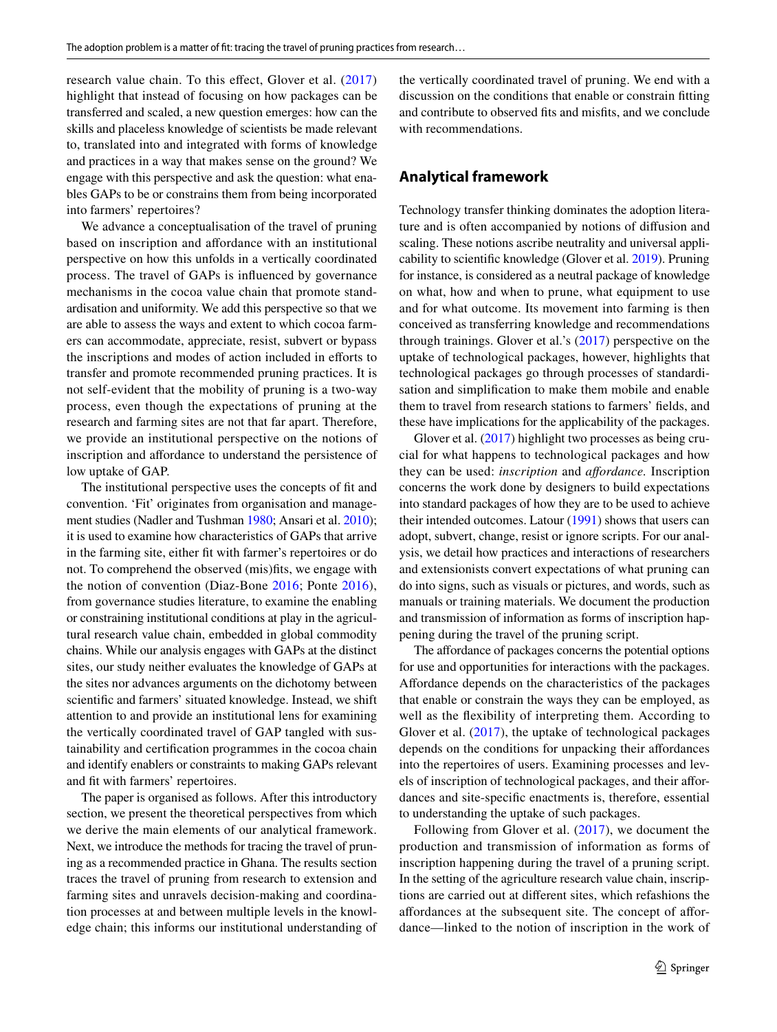research value chain. To this effect, Glover et al. ([2017\)](#page-13-7) highlight that instead of focusing on how packages can be transferred and scaled, a new question emerges: how can the skills and placeless knowledge of scientists be made relevant to, translated into and integrated with forms of knowledge and practices in a way that makes sense on the ground? We engage with this perspective and ask the question: what enables GAPs to be or constrains them from being incorporated into farmers' repertoires?

We advance a conceptualisation of the travel of pruning based on inscription and afordance with an institutional perspective on how this unfolds in a vertically coordinated process. The travel of GAPs is infuenced by governance mechanisms in the cocoa value chain that promote standardisation and uniformity. We add this perspective so that we are able to assess the ways and extent to which cocoa farmers can accommodate, appreciate, resist, subvert or bypass the inscriptions and modes of action included in eforts to transfer and promote recommended pruning practices. It is not self-evident that the mobility of pruning is a two-way process, even though the expectations of pruning at the research and farming sites are not that far apart. Therefore, we provide an institutional perspective on the notions of inscription and afordance to understand the persistence of low uptake of GAP.

The institutional perspective uses the concepts of ft and convention. 'Fit' originates from organisation and management studies (Nadler and Tushman [1980](#page-14-9); Ansari et al. [2010](#page-13-8)); it is used to examine how characteristics of GAPs that arrive in the farming site, either ft with farmer's repertoires or do not. To comprehend the observed (mis)fts, we engage with the notion of convention (Diaz-Bone [2016;](#page-13-9) Ponte [2016\)](#page-14-10), from governance studies literature, to examine the enabling or constraining institutional conditions at play in the agricultural research value chain, embedded in global commodity chains. While our analysis engages with GAPs at the distinct sites, our study neither evaluates the knowledge of GAPs at the sites nor advances arguments on the dichotomy between scientifc and farmers' situated knowledge. Instead, we shift attention to and provide an institutional lens for examining the vertically coordinated travel of GAP tangled with sustainability and certifcation programmes in the cocoa chain and identify enablers or constraints to making GAPs relevant and fit with farmers' repertoires.

The paper is organised as follows. After this introductory section, we present the theoretical perspectives from which we derive the main elements of our analytical framework. Next, we introduce the methods for tracing the travel of pruning as a recommended practice in Ghana. The results section traces the travel of pruning from research to extension and farming sites and unravels decision-making and coordination processes at and between multiple levels in the knowledge chain; this informs our institutional understanding of the vertically coordinated travel of pruning. We end with a discussion on the conditions that enable or constrain ftting and contribute to observed fts and misfts, and we conclude with recommendations.

## **Analytical framework**

Technology transfer thinking dominates the adoption literature and is often accompanied by notions of difusion and scaling. These notions ascribe neutrality and universal applicability to scientifc knowledge (Glover et al. [2019\)](#page-13-4). Pruning for instance, is considered as a neutral package of knowledge on what, how and when to prune, what equipment to use and for what outcome. Its movement into farming is then conceived as transferring knowledge and recommendations through trainings. Glover et al.'s ([2017](#page-13-7)) perspective on the uptake of technological packages, however, highlights that technological packages go through processes of standardisation and simplifcation to make them mobile and enable them to travel from research stations to farmers' felds, and these have implications for the applicability of the packages.

Glover et al. ([2017\)](#page-13-7) highlight two processes as being crucial for what happens to technological packages and how they can be used: *inscription* and *afordance.* Inscription concerns the work done by designers to build expectations into standard packages of how they are to be used to achieve their intended outcomes. Latour [\(1991](#page-14-6)) shows that users can adopt, subvert, change, resist or ignore scripts. For our analysis, we detail how practices and interactions of researchers and extensionists convert expectations of what pruning can do into signs, such as visuals or pictures, and words, such as manuals or training materials. We document the production and transmission of information as forms of inscription happening during the travel of the pruning script.

The affordance of packages concerns the potential options for use and opportunities for interactions with the packages. Afordance depends on the characteristics of the packages that enable or constrain the ways they can be employed, as well as the fexibility of interpreting them. According to Glover et al. [\(2017\)](#page-13-7), the uptake of technological packages depends on the conditions for unpacking their affordances into the repertoires of users. Examining processes and levels of inscription of technological packages, and their afordances and site-specifc enactments is, therefore, essential to understanding the uptake of such packages.

Following from Glover et al. ([2017](#page-13-7)), we document the production and transmission of information as forms of inscription happening during the travel of a pruning script. In the setting of the agriculture research value chain, inscriptions are carried out at diferent sites, which refashions the afordances at the subsequent site. The concept of afordance—linked to the notion of inscription in the work of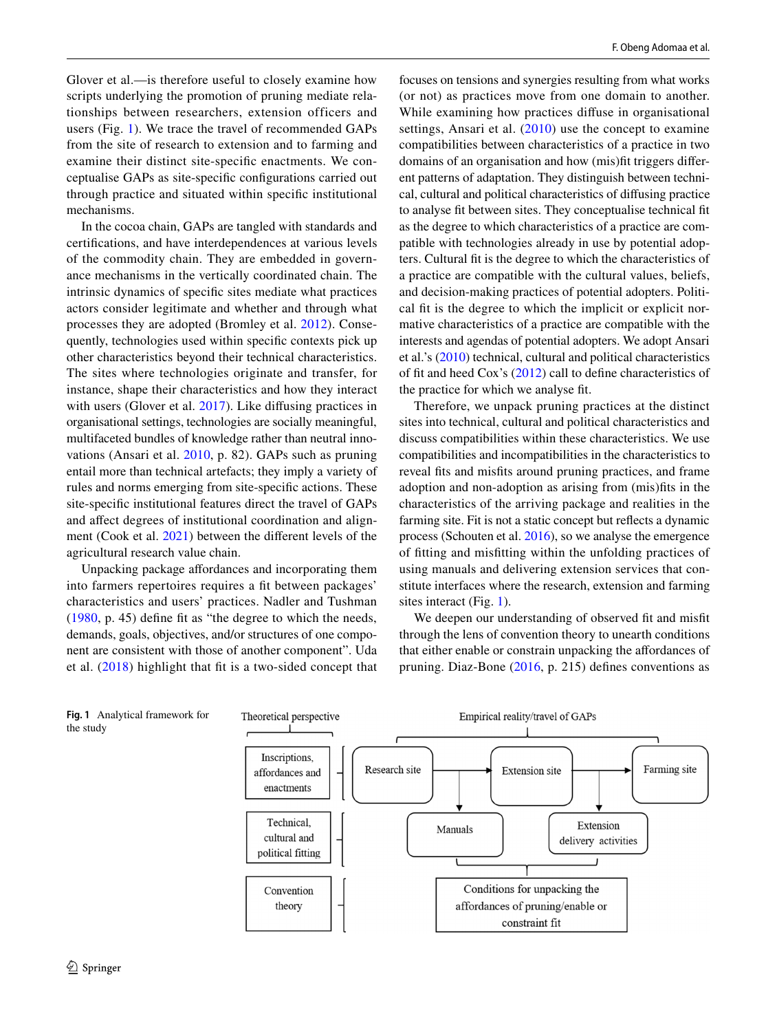Glover et al.—is therefore useful to closely examine how scripts underlying the promotion of pruning mediate relationships between researchers, extension officers and users (Fig. [1\)](#page-3-0). We trace the travel of recommended GAPs from the site of research to extension and to farming and examine their distinct site-specifc enactments. We conceptualise GAPs as site-specifc confgurations carried out through practice and situated within specifc institutional mechanisms.

In the cocoa chain, GAPs are tangled with standards and certifcations, and have interdependences at various levels of the commodity chain. They are embedded in governance mechanisms in the vertically coordinated chain. The intrinsic dynamics of specifc sites mediate what practices actors consider legitimate and whether and through what processes they are adopted (Bromley et al. [2012](#page-13-10)). Consequently, technologies used within specifc contexts pick up other characteristics beyond their technical characteristics. The sites where technologies originate and transfer, for instance, shape their characteristics and how they interact with users (Glover et al. [2017](#page-13-7)). Like diffusing practices in organisational settings, technologies are socially meaningful, multifaceted bundles of knowledge rather than neutral innovations (Ansari et al. [2010](#page-13-8), p. 82). GAPs such as pruning entail more than technical artefacts; they imply a variety of rules and norms emerging from site-specifc actions. These site-specifc institutional features direct the travel of GAPs and afect degrees of institutional coordination and alignment (Cook et al. [2021\)](#page-13-5) between the diferent levels of the agricultural research value chain.

Unpacking package afordances and incorporating them into farmers repertoires requires a ft between packages' characteristics and users' practices. Nadler and Tushman [\(1980,](#page-14-9) p. 45) defne ft as "the degree to which the needs, demands, goals, objectives, and/or structures of one component are consistent with those of another component". Uda et al. [\(2018\)](#page-14-11) highlight that ft is a two-sided concept that focuses on tensions and synergies resulting from what works (or not) as practices move from one domain to another. While examining how practices difuse in organisational settings, Ansari et al. [\(2010](#page-13-8)) use the concept to examine compatibilities between characteristics of a practice in two domains of an organisation and how (mis)ft triggers diferent patterns of adaptation. They distinguish between technical, cultural and political characteristics of difusing practice to analyse ft between sites. They conceptualise technical ft as the degree to which characteristics of a practice are compatible with technologies already in use by potential adopters. Cultural ft is the degree to which the characteristics of a practice are compatible with the cultural values, beliefs, and decision-making practices of potential adopters. Political fit is the degree to which the implicit or explicit normative characteristics of a practice are compatible with the interests and agendas of potential adopters. We adopt Ansari et al.'s [\(2010](#page-13-8)) technical, cultural and political characteristics of ft and heed Cox's [\(2012\)](#page-13-11) call to defne characteristics of the practice for which we analyse ft.

Therefore, we unpack pruning practices at the distinct sites into technical, cultural and political characteristics and discuss compatibilities within these characteristics. We use compatibilities and incompatibilities in the characteristics to reveal fts and misfts around pruning practices, and frame adoption and non-adoption as arising from (mis)fts in the characteristics of the arriving package and realities in the farming site. Fit is not a static concept but refects a dynamic process (Schouten et al. [2016](#page-14-12)), so we analyse the emergence of ftting and misftting within the unfolding practices of using manuals and delivering extension services that constitute interfaces where the research, extension and farming sites interact (Fig. [1](#page-3-0)).

We deepen our understanding of observed fit and misfit through the lens of convention theory to unearth conditions that either enable or constrain unpacking the afordances of pruning. Diaz-Bone [\(2016,](#page-13-9) p. 215) defnes conventions as

<span id="page-3-0"></span>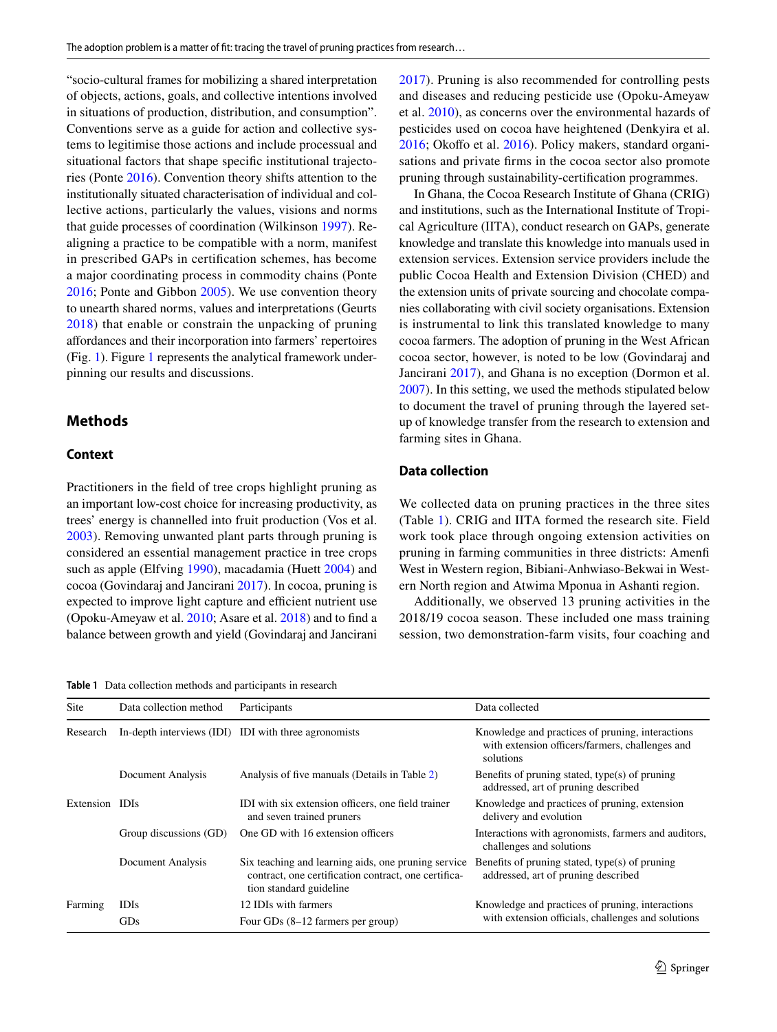"socio-cultural frames for mobilizing a shared interpretation of objects, actions, goals, and collective intentions involved in situations of production, distribution, and consumption". Conventions serve as a guide for action and collective systems to legitimise those actions and include processual and situational factors that shape specifc institutional trajectories (Ponte [2016](#page-14-10)). Convention theory shifts attention to the institutionally situated characterisation of individual and collective actions, particularly the values, visions and norms that guide processes of coordination (Wilkinson [1997](#page-14-13)). Realigning a practice to be compatible with a norm, manifest in prescribed GAPs in certifcation schemes, has become a major coordinating process in commodity chains (Ponte [2016](#page-14-10); Ponte and Gibbon [2005](#page-14-14)). We use convention theory to unearth shared norms, values and interpretations (Geurts [2018\)](#page-13-12) that enable or constrain the unpacking of pruning afordances and their incorporation into farmers' repertoires (Fig. [1](#page-3-0)). Figure [1](#page-3-0) represents the analytical framework underpinning our results and discussions.

## **Methods**

#### **Context**

Practitioners in the feld of tree crops highlight pruning as an important low-cost choice for increasing productivity, as trees' energy is channelled into fruit production (Vos et al. [2003](#page-14-15)). Removing unwanted plant parts through pruning is considered an essential management practice in tree crops such as apple (Elfving [1990](#page-13-13)), macadamia (Huett [2004\)](#page-13-14) and cocoa (Govindaraj and Jancirani [2017](#page-13-15)). In cocoa, pruning is expected to improve light capture and efficient nutrient use (Opoku-Ameyaw et al. [2010](#page-14-16); Asare et al. [2018\)](#page-13-16) and to fnd a balance between growth and yield (Govindaraj and Jancirani

<span id="page-4-0"></span>**Table 1** Data collection methods and participants in research

[2017\)](#page-13-15). Pruning is also recommended for controlling pests and diseases and reducing pesticide use (Opoku-Ameyaw et al. [2010\)](#page-14-16), as concerns over the environmental hazards of pesticides used on cocoa have heightened (Denkyira et al. [2016](#page-14-17); Okoffo et al. 2016). Policy makers, standard organisations and private frms in the cocoa sector also promote pruning through sustainability-certifcation programmes.

In Ghana, the Cocoa Research Institute of Ghana (CRIG) and institutions, such as the International Institute of Tropical Agriculture (IITA), conduct research on GAPs, generate knowledge and translate this knowledge into manuals used in extension services. Extension service providers include the public Cocoa Health and Extension Division (CHED) and the extension units of private sourcing and chocolate companies collaborating with civil society organisations. Extension is instrumental to link this translated knowledge to many cocoa farmers. The adoption of pruning in the West African cocoa sector, however, is noted to be low (Govindaraj and Jancirani [2017](#page-13-15)), and Ghana is no exception (Dormon et al. [2007](#page-13-3)). In this setting, we used the methods stipulated below to document the travel of pruning through the layered setup of knowledge transfer from the research to extension and farming sites in Ghana.

#### **Data collection**

We collected data on pruning practices in the three sites (Table [1\)](#page-4-0). CRIG and IITA formed the research site. Field work took place through ongoing extension activities on pruning in farming communities in three districts: Amenf West in Western region, Bibiani-Anhwiaso-Bekwai in Western North region and Atwima Mponua in Ashanti region.

Additionally, we observed 13 pruning activities in the 2018/19 cocoa season. These included one mass training session, two demonstration-farm visits, four coaching and

| Site           | Data collection method | Participants                                                                                                                           | Data collected                                                                                                   |  |
|----------------|------------------------|----------------------------------------------------------------------------------------------------------------------------------------|------------------------------------------------------------------------------------------------------------------|--|
| Research       |                        | In-depth interviews (IDI) IDI with three agronomists                                                                                   | Knowledge and practices of pruning, interactions<br>with extension officers/farmers, challenges and<br>solutions |  |
|                | Document Analysis      | Analysis of five manuals (Details in Table 2)                                                                                          | Benefits of pruning stated, type $(s)$ of pruning<br>addressed, art of pruning described                         |  |
| Extension IDIs |                        | IDI with six extension officers, one field trainer<br>and seven trained pruners                                                        | Knowledge and practices of pruning, extension<br>delivery and evolution                                          |  |
|                | Group discussions (GD) | One GD with 16 extension officers                                                                                                      | Interactions with agronomists, farmers and auditors,<br>challenges and solutions                                 |  |
|                | Document Analysis      | Six teaching and learning aids, one pruning service<br>contract, one certification contract, one certifica-<br>tion standard guideline | Benefits of pruning stated, type $(s)$ of pruning<br>addressed, art of pruning described                         |  |
| Farming        | <b>IDIs</b>            | 12 IDIs with farmers                                                                                                                   | Knowledge and practices of pruning, interactions<br>with extension officials, challenges and solutions           |  |
|                | GDs                    | Four GDs $(8-12)$ farmers per group)                                                                                                   |                                                                                                                  |  |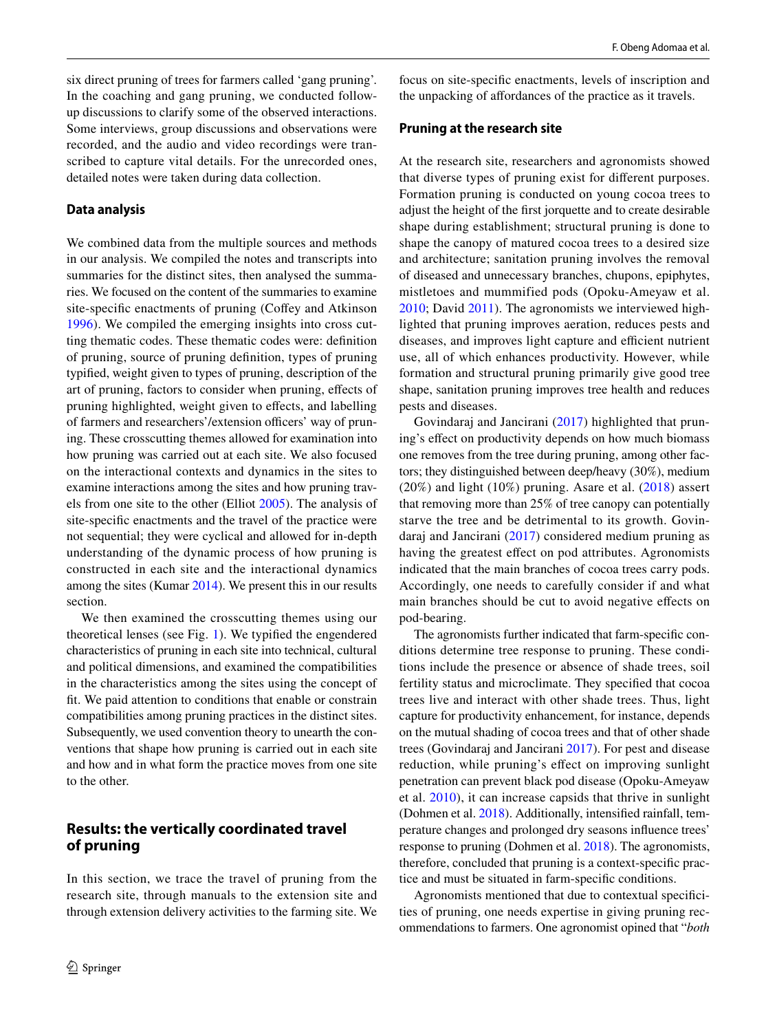six direct pruning of trees for farmers called 'gang pruning'. In the coaching and gang pruning, we conducted followup discussions to clarify some of the observed interactions. Some interviews, group discussions and observations were recorded, and the audio and video recordings were transcribed to capture vital details. For the unrecorded ones, detailed notes were taken during data collection.

#### **Data analysis**

We combined data from the multiple sources and methods in our analysis. We compiled the notes and transcripts into summaries for the distinct sites, then analysed the summaries. We focused on the content of the summaries to examine site-specific enactments of pruning (Coffey and Atkinson [1996\)](#page-13-18). We compiled the emerging insights into cross cutting thematic codes. These thematic codes were: defnition of pruning, source of pruning defnition, types of pruning typifed, weight given to types of pruning, description of the art of pruning, factors to consider when pruning, efects of pruning highlighted, weight given to efects, and labelling of farmers and researchers'/extension officers' way of pruning. These crosscutting themes allowed for examination into how pruning was carried out at each site. We also focused on the interactional contexts and dynamics in the sites to examine interactions among the sites and how pruning travels from one site to the other (Elliot [2005\)](#page-13-19). The analysis of site-specifc enactments and the travel of the practice were not sequential; they were cyclical and allowed for in-depth understanding of the dynamic process of how pruning is constructed in each site and the interactional dynamics among the sites (Kumar [2014](#page-14-18)). We present this in our results section.

We then examined the crosscutting themes using our theoretical lenses (see Fig. [1](#page-3-0)). We typifed the engendered characteristics of pruning in each site into technical, cultural and political dimensions, and examined the compatibilities in the characteristics among the sites using the concept of ft. We paid attention to conditions that enable or constrain compatibilities among pruning practices in the distinct sites. Subsequently, we used convention theory to unearth the conventions that shape how pruning is carried out in each site and how and in what form the practice moves from one site to the other.

## **Results: the vertically coordinated travel of pruning**

In this section, we trace the travel of pruning from the research site, through manuals to the extension site and through extension delivery activities to the farming site. We focus on site-specifc enactments, levels of inscription and the unpacking of afordances of the practice as it travels.

#### **Pruning at the research site**

At the research site, researchers and agronomists showed that diverse types of pruning exist for diferent purposes. Formation pruning is conducted on young cocoa trees to adjust the height of the frst jorquette and to create desirable shape during establishment; structural pruning is done to shape the canopy of matured cocoa trees to a desired size and architecture; sanitation pruning involves the removal of diseased and unnecessary branches, chupons, epiphytes, mistletoes and mummified pods (Opoku-Ameyaw et al. [2010](#page-14-16); David [2011](#page-13-20)). The agronomists we interviewed highlighted that pruning improves aeration, reduces pests and diseases, and improves light capture and efficient nutrient use, all of which enhances productivity. However, while formation and structural pruning primarily give good tree shape, sanitation pruning improves tree health and reduces pests and diseases.

Govindaraj and Jancirani ([2017\)](#page-13-15) highlighted that pruning's efect on productivity depends on how much biomass one removes from the tree during pruning, among other factors; they distinguished between deep/heavy (30%), medium  $(20\%)$  and light  $(10\%)$  pruning. Asare et al.  $(2018)$  $(2018)$  $(2018)$  assert that removing more than 25% of tree canopy can potentially starve the tree and be detrimental to its growth. Govindaraj and Jancirani [\(2017\)](#page-13-15) considered medium pruning as having the greatest effect on pod attributes. Agronomists indicated that the main branches of cocoa trees carry pods. Accordingly, one needs to carefully consider if and what main branches should be cut to avoid negative efects on pod-bearing.

The agronomists further indicated that farm-specifc conditions determine tree response to pruning. These conditions include the presence or absence of shade trees, soil fertility status and microclimate. They specifed that cocoa trees live and interact with other shade trees. Thus, light capture for productivity enhancement, for instance, depends on the mutual shading of cocoa trees and that of other shade trees (Govindaraj and Jancirani [2017\)](#page-13-15). For pest and disease reduction, while pruning's effect on improving sunlight penetration can prevent black pod disease (Opoku-Ameyaw et al. [2010\)](#page-14-16), it can increase capsids that thrive in sunlight (Dohmen et al. [2018](#page-13-21)). Additionally, intensifed rainfall, temperature changes and prolonged dry seasons infuence trees' response to pruning (Dohmen et al. [2018](#page-13-21)). The agronomists, therefore, concluded that pruning is a context-specifc practice and must be situated in farm-specifc conditions.

Agronomists mentioned that due to contextual specifcities of pruning, one needs expertise in giving pruning recommendations to farmers. One agronomist opined that "*both*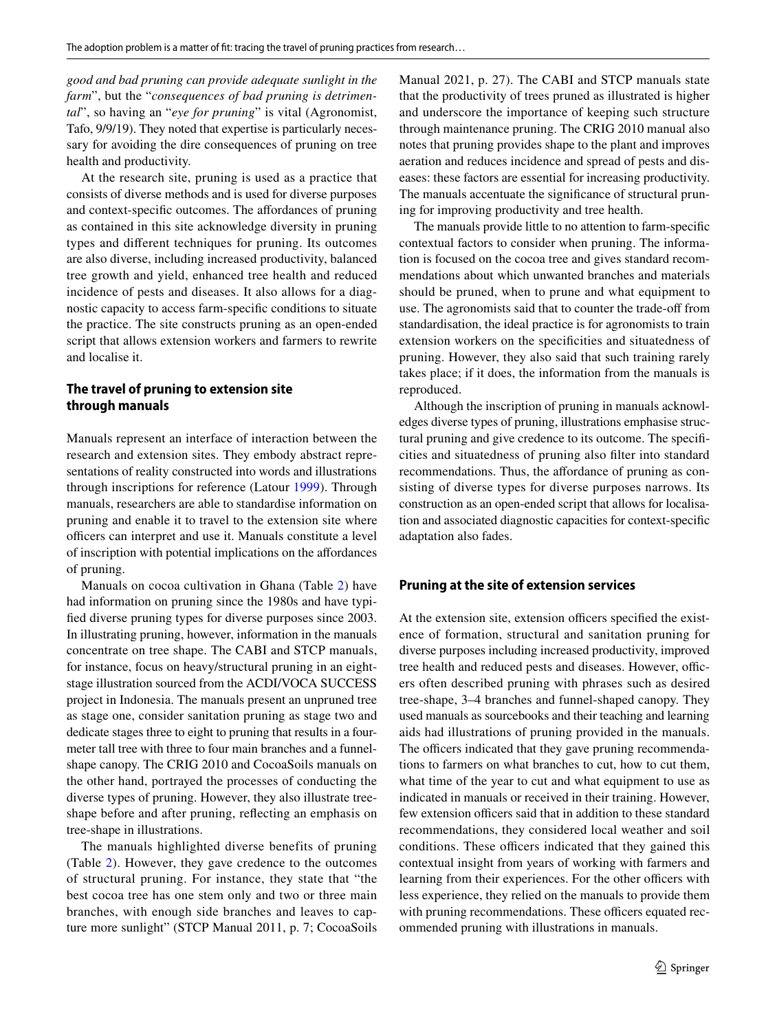*good and bad pruning can provide adequate sunlight in the farm*", but the "*consequences of bad pruning is detrimental*", so having an "*eye for pruning*" is vital (Agronomist, Tafo, 9/9/19). They noted that expertise is particularly necessary for avoiding the dire consequences of pruning on tree health and productivity.

At the research site, pruning is used as a practice that consists of diverse methods and is used for diverse purposes and context-specifc outcomes. The afordances of pruning as contained in this site acknowledge diversity in pruning types and diferent techniques for pruning. Its outcomes are also diverse, including increased productivity, balanced tree growth and yield, enhanced tree health and reduced incidence of pests and diseases. It also allows for a diagnostic capacity to access farm-specifc conditions to situate the practice. The site constructs pruning as an open-ended script that allows extension workers and farmers to rewrite and localise it.

## **The travel of pruning to extension site through manuals**

Manuals represent an interface of interaction between the research and extension sites. They embody abstract representations of reality constructed into words and illustrations through inscriptions for reference (Latour [1999](#page-14-7)). Through manuals, researchers are able to standardise information on pruning and enable it to travel to the extension site where officers can interpret and use it. Manuals constitute a level of inscription with potential implications on the afordances of pruning.

Manuals on cocoa cultivation in Ghana (Table [2\)](#page-7-0) have had information on pruning since the 1980s and have typifed diverse pruning types for diverse purposes since 2003. In illustrating pruning, however, information in the manuals concentrate on tree shape. The CABI and STCP manuals, for instance, focus on heavy/structural pruning in an eightstage illustration sourced from the ACDI/VOCA SUCCESS project in Indonesia. The manuals present an unpruned tree as stage one, consider sanitation pruning as stage two and dedicate stages three to eight to pruning that results in a fourmeter tall tree with three to four main branches and a funnelshape canopy. The CRIG 2010 and CocoaSoils manuals on the other hand, portrayed the processes of conducting the diverse types of pruning. However, they also illustrate treeshape before and after pruning, refecting an emphasis on tree-shape in illustrations.

The manuals highlighted diverse benefits of pruning (Table [2](#page-7-0)). However, they gave credence to the outcomes of structural pruning. For instance, they state that "the best cocoa tree has one stem only and two or three main branches, with enough side branches and leaves to capture more sunlight" (STCP Manual 2011, p. 7; CocoaSoils Manual 2021, p. 27). The CABI and STCP manuals state that the productivity of trees pruned as illustrated is higher and underscore the importance of keeping such structure through maintenance pruning. The CRIG 2010 manual also notes that pruning provides shape to the plant and improves aeration and reduces incidence and spread of pests and diseases: these factors are essential for increasing productivity. The manuals accentuate the signifcance of structural pruning for improving productivity and tree health.

The manuals provide little to no attention to farm-specifc contextual factors to consider when pruning. The information is focused on the cocoa tree and gives standard recommendations about which unwanted branches and materials should be pruned, when to prune and what equipment to use. The agronomists said that to counter the trade-off from standardisation, the ideal practice is for agronomists to train extension workers on the specifcities and situatedness of pruning. However, they also said that such training rarely takes place; if it does, the information from the manuals is reproduced.

Although the inscription of pruning in manuals acknowledges diverse types of pruning, illustrations emphasise structural pruning and give credence to its outcome. The specifcities and situatedness of pruning also flter into standard recommendations. Thus, the affordance of pruning as consisting of diverse types for diverse purposes narrows. Its construction as an open-ended script that allows for localisation and associated diagnostic capacities for context-specifc adaptation also fades.

#### **Pruning at the site of extension services**

At the extension site, extension officers specified the existence of formation, structural and sanitation pruning for diverse purposes including increased productivity, improved tree health and reduced pests and diseases. However, officers often described pruning with phrases such as desired tree-shape, 3–4 branches and funnel-shaped canopy. They used manuals as sourcebooks and their teaching and learning aids had illustrations of pruning provided in the manuals. The officers indicated that they gave pruning recommendations to farmers on what branches to cut, how to cut them, what time of the year to cut and what equipment to use as indicated in manuals or received in their training. However, few extension officers said that in addition to these standard recommendations, they considered local weather and soil conditions. These officers indicated that they gained this contextual insight from years of working with farmers and learning from their experiences. For the other officers with less experience, they relied on the manuals to provide them with pruning recommendations. These officers equated recommended pruning with illustrations in manuals.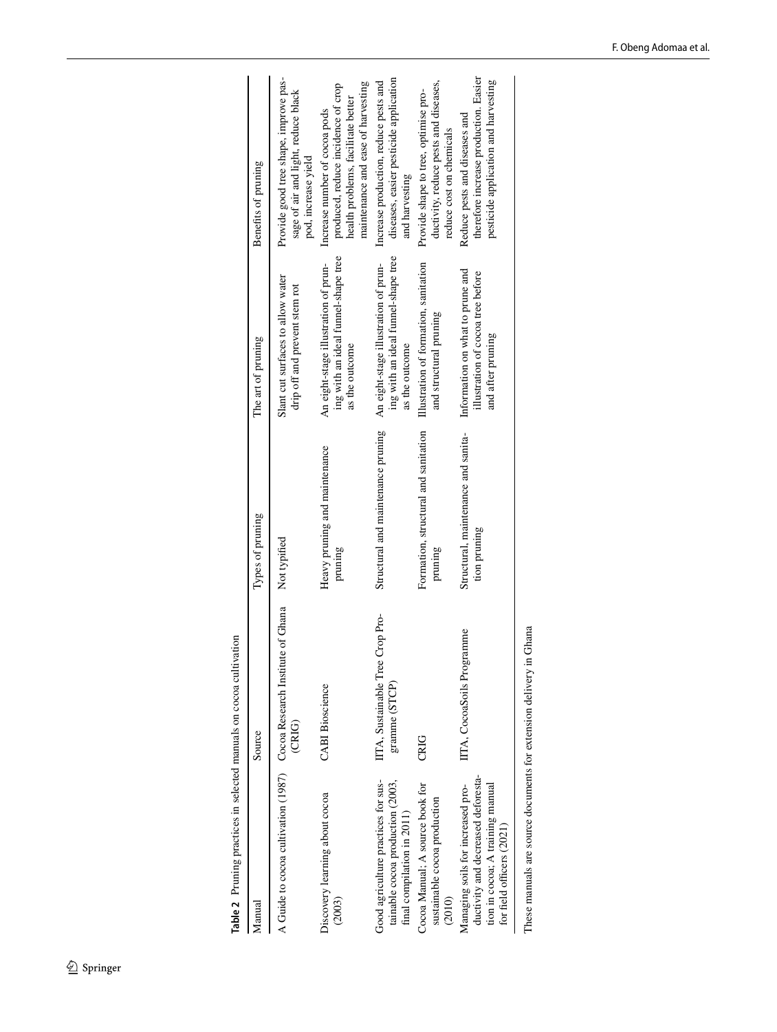<span id="page-7-0"></span>Table 2 Pruning practices in selected manuals on cocoa cultivation **Table 2** Pruning practices in selected manuals on cocoa cultivation

| Manual                                                                                                                                   | Source                                                                                       | Types of pruning                                    | The art of pruning                                                                            | Benefits of pruning                                                                                                                             |
|------------------------------------------------------------------------------------------------------------------------------------------|----------------------------------------------------------------------------------------------|-----------------------------------------------------|-----------------------------------------------------------------------------------------------|-------------------------------------------------------------------------------------------------------------------------------------------------|
|                                                                                                                                          | A Guide to cocoa cultivation (1987) Cocoa Research Institute of Ghana Not typified<br>(CRIG) |                                                     | Slant cut surfaces to allow water<br>drip off and prevent stem rot                            | Provide good tree shape, improve pas-<br>sage of air and light, reduce black<br>pod, increase yield                                             |
| Discovery learning about cocoa<br>(2003)                                                                                                 | <b>CABI</b> Bioscience                                                                       | Heavy pruning and maintenance<br>pruning            | ing with an ideal funnel-shape tree<br>An eight-stage illustration of prun-<br>as the outcome | maintenance and ease of harvesting<br>produced, reduce incidence of crop<br>health problems, facilitate better<br>Increase number of cocoa pods |
| Good agriculture practices for sus-<br>tainable cocoa production (2003,<br>final compilation in 2011)                                    | IITA, Sustainable Tree Crop Pro-<br>gramme (STCP)                                            | Structural and maintenance pruning                  | ing with an ideal funnel-shape tree<br>An eight-stage illustration of prun-<br>as the outcome | diseases, easier pesticide application<br>Increase production, reduce pests and<br>and harvesting                                               |
| Cocoa Manual; A source book for<br>sustainable cocoa production<br>(2010)                                                                | <b>CRIG</b>                                                                                  | Formation, structural and sanitation<br>pruning     | Illustration of formation, sanitation<br>and structural pruning                               | ductivity, reduce pests and diseases,<br>Provide shape to tree, optimise pro-<br>reduce cost on chemicals                                       |
| ductivity and decreased deforesta-<br>tion in cocoa; A training manual<br>Managing soils for increased pro-<br>for field officers (2021) | IITA, CocoaSoils Programme                                                                   | Structural, maintenance and sanita-<br>tion pruning | Information on what to prune and<br>illustration of cocoa tree before<br>and after pruning    | therefore increase production. Easier<br>pesticide application and harvesting<br>Reduce pests and diseases and                                  |
| These manuals are source documents for extension delivery in Ghana                                                                       |                                                                                              |                                                     |                                                                                               |                                                                                                                                                 |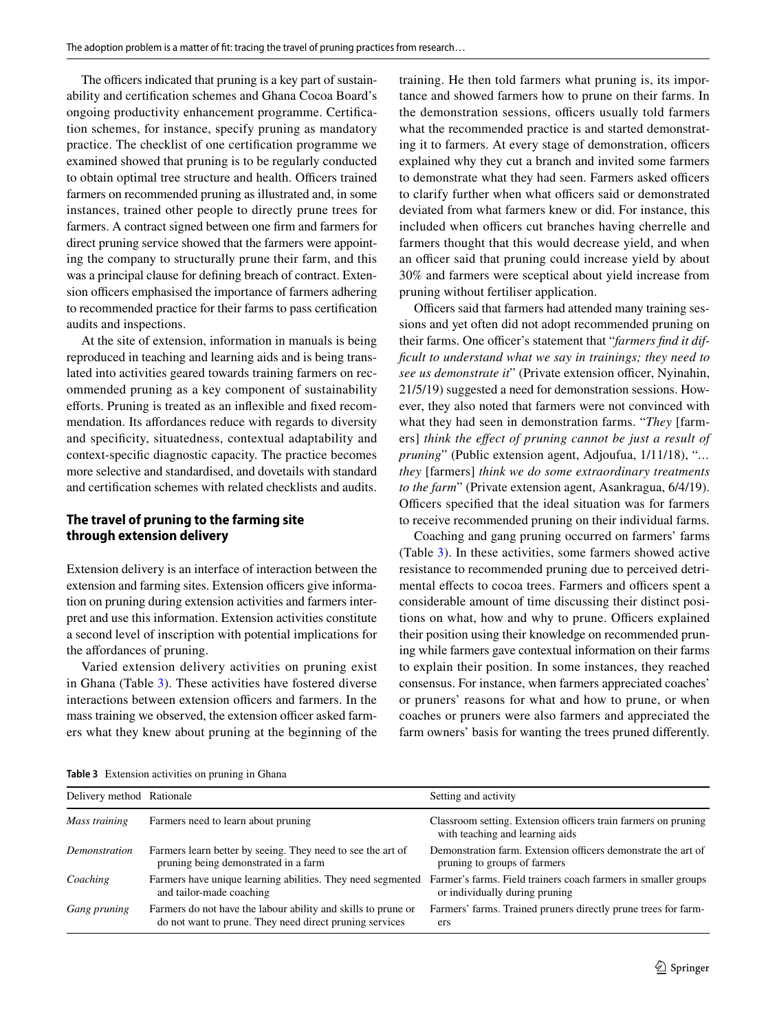The officers indicated that pruning is a key part of sustainability and certifcation schemes and Ghana Cocoa Board's ongoing productivity enhancement programme. Certifcation schemes, for instance, specify pruning as mandatory practice. The checklist of one certifcation programme we examined showed that pruning is to be regularly conducted to obtain optimal tree structure and health. Officers trained farmers on recommended pruning as illustrated and, in some instances, trained other people to directly prune trees for farmers. A contract signed between one frm and farmers for direct pruning service showed that the farmers were appointing the company to structurally prune their farm, and this was a principal clause for defning breach of contract. Extension officers emphasised the importance of farmers adhering to recommended practice for their farms to pass certifcation audits and inspections.

At the site of extension, information in manuals is being reproduced in teaching and learning aids and is being translated into activities geared towards training farmers on recommended pruning as a key component of sustainability efforts. Pruning is treated as an inflexible and fixed recommendation. Its affordances reduce with regards to diversity and specifcity, situatedness, contextual adaptability and context-specifc diagnostic capacity. The practice becomes more selective and standardised, and dovetails with standard and certifcation schemes with related checklists and audits.

## **The travel of pruning to the farming site through extension delivery**

Extension delivery is an interface of interaction between the extension and farming sites. Extension officers give information on pruning during extension activities and farmers interpret and use this information. Extension activities constitute a second level of inscription with potential implications for the afordances of pruning.

Varied extension delivery activities on pruning exist in Ghana (Table [3\)](#page-8-0). These activities have fostered diverse interactions between extension officers and farmers. In the mass training we observed, the extension officer asked farmers what they knew about pruning at the beginning of the training. He then told farmers what pruning is, its importance and showed farmers how to prune on their farms. In the demonstration sessions, officers usually told farmers what the recommended practice is and started demonstrating it to farmers. At every stage of demonstration, officers explained why they cut a branch and invited some farmers to demonstrate what they had seen. Farmers asked officers to clarify further when what officers said or demonstrated deviated from what farmers knew or did. For instance, this included when officers cut branches having cherrelle and farmers thought that this would decrease yield, and when an officer said that pruning could increase yield by about 30% and farmers were sceptical about yield increase from pruning without fertiliser application.

Officers said that farmers had attended many training sessions and yet often did not adopt recommended pruning on their farms. One officer's statement that "farmers find it dif*fcult to understand what we say in trainings; they need to see us demonstrate it*" (Private extension officer, Nyinahin, 21/5/19) suggested a need for demonstration sessions. However, they also noted that farmers were not convinced with what they had seen in demonstration farms. "*They* [farmers] *think the efect of pruning cannot be just a result of pruning*" (Public extension agent, Adjoufua, 1/11/18), "*… they* [farmers] *think we do some extraordinary treatments to the farm*" (Private extension agent, Asankragua, 6/4/19). Officers specified that the ideal situation was for farmers to receive recommended pruning on their individual farms.

Coaching and gang pruning occurred on farmers' farms (Table [3\)](#page-8-0). In these activities, some farmers showed active resistance to recommended pruning due to perceived detrimental effects to cocoa trees. Farmers and officers spent a considerable amount of time discussing their distinct positions on what, how and why to prune. Officers explained their position using their knowledge on recommended pruning while farmers gave contextual information on their farms to explain their position. In some instances, they reached consensus. For instance, when farmers appreciated coaches' or pruners' reasons for what and how to prune, or when coaches or pruners were also farmers and appreciated the farm owners' basis for wanting the trees pruned diferently.

<span id="page-8-0"></span>**Table 3** Extension activities on pruning in Ghana

| Delivery method Rationale |                                                                                                                          | Setting and activity                                                                              |
|---------------------------|--------------------------------------------------------------------------------------------------------------------------|---------------------------------------------------------------------------------------------------|
| Mass training             | Farmers need to learn about pruning                                                                                      | Classroom setting. Extension officers train farmers on pruning<br>with teaching and learning aids |
| Demonstration             | Farmers learn better by seeing. They need to see the art of<br>pruning being demonstrated in a farm                      | Demonstration farm. Extension officers demonstrate the art of<br>pruning to groups of farmers     |
| Coaching                  | Farmers have unique learning abilities. They need segmented<br>and tailor-made coaching                                  | Farmer's farms. Field trainers coach farmers in smaller groups<br>or individually during pruning  |
| Gang pruning              | Farmers do not have the labour ability and skills to prune or<br>do not want to prune. They need direct pruning services | Farmers' farms. Trained pruners directly prune trees for farm-<br>ers                             |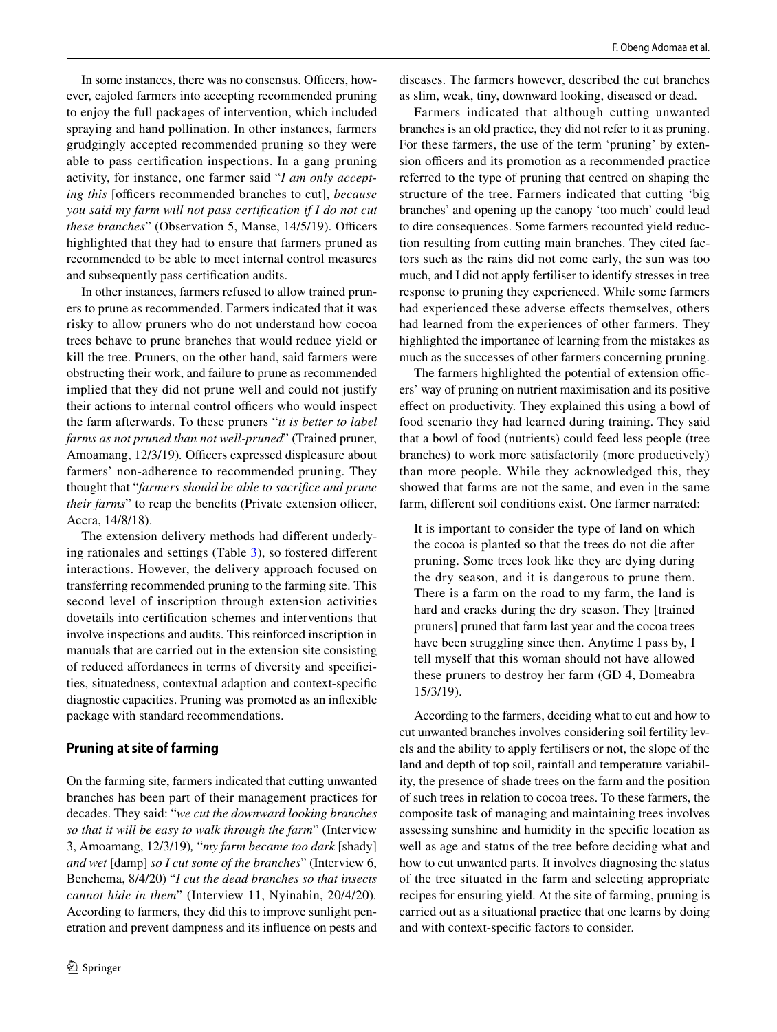In some instances, there was no consensus. Officers, however, cajoled farmers into accepting recommended pruning to enjoy the full packages of intervention, which included spraying and hand pollination. In other instances, farmers grudgingly accepted recommended pruning so they were able to pass certifcation inspections. In a gang pruning activity, for instance, one farmer said "*I am only accepting this* [officers recommended branches to cut], *because you said my farm will not pass certifcation if I do not cut these branches*" (Observation 5, Manse, 14/5/19). Officers highlighted that they had to ensure that farmers pruned as recommended to be able to meet internal control measures and subsequently pass certifcation audits.

In other instances, farmers refused to allow trained pruners to prune as recommended. Farmers indicated that it was risky to allow pruners who do not understand how cocoa trees behave to prune branches that would reduce yield or kill the tree. Pruners, on the other hand, said farmers were obstructing their work, and failure to prune as recommended implied that they did not prune well and could not justify their actions to internal control officers who would inspect the farm afterwards. To these pruners "*it is better to label farms as not pruned than not well-pruned*" (Trained pruner, Amoamang, 12/3/19). Officers expressed displeasure about farmers' non-adherence to recommended pruning. They thought that "*farmers should be able to sacrifce and prune their farms*" to reap the benefits (Private extension officer, Accra, 14/8/18).

The extension delivery methods had diferent underlying rationales and settings (Table [3](#page-8-0)), so fostered diferent interactions. However, the delivery approach focused on transferring recommended pruning to the farming site. This second level of inscription through extension activities dovetails into certifcation schemes and interventions that involve inspections and audits. This reinforced inscription in manuals that are carried out in the extension site consisting of reduced afordances in terms of diversity and specifcities, situatedness, contextual adaption and context-specifc diagnostic capacities. Pruning was promoted as an infexible package with standard recommendations.

## **Pruning at site of farming**

On the farming site, farmers indicated that cutting unwanted branches has been part of their management practices for decades. They said: "*we cut the downward looking branches so that it will be easy to walk through the farm*" (Interview 3, Amoamang, 12/3/19)*,* "*my farm became too dark* [shady] *and wet* [damp] *so I cut some of the branches*" (Interview 6, Benchema, 8/4/20) "*I cut the dead branches so that insects cannot hide in them*" (Interview 11, Nyinahin, 20/4/20)*.* According to farmers, they did this to improve sunlight penetration and prevent dampness and its infuence on pests and diseases. The farmers however, described the cut branches as slim, weak, tiny, downward looking, diseased or dead.

Farmers indicated that although cutting unwanted branches is an old practice, they did not refer to it as pruning. For these farmers, the use of the term 'pruning' by extension officers and its promotion as a recommended practice referred to the type of pruning that centred on shaping the structure of the tree. Farmers indicated that cutting 'big branches' and opening up the canopy 'too much' could lead to dire consequences. Some farmers recounted yield reduction resulting from cutting main branches. They cited factors such as the rains did not come early, the sun was too much, and I did not apply fertiliser to identify stresses in tree response to pruning they experienced. While some farmers had experienced these adverse efects themselves, others had learned from the experiences of other farmers. They highlighted the importance of learning from the mistakes as much as the successes of other farmers concerning pruning.

The farmers highlighted the potential of extension officers' way of pruning on nutrient maximisation and its positive efect on productivity. They explained this using a bowl of food scenario they had learned during training. They said that a bowl of food (nutrients) could feed less people (tree branches) to work more satisfactorily (more productively) than more people. While they acknowledged this, they showed that farms are not the same, and even in the same farm, diferent soil conditions exist. One farmer narrated:

It is important to consider the type of land on which the cocoa is planted so that the trees do not die after pruning. Some trees look like they are dying during the dry season, and it is dangerous to prune them. There is a farm on the road to my farm, the land is hard and cracks during the dry season. They [trained pruners] pruned that farm last year and the cocoa trees have been struggling since then. Anytime I pass by, I tell myself that this woman should not have allowed these pruners to destroy her farm (GD 4, Domeabra 15/3/19).

According to the farmers, deciding what to cut and how to cut unwanted branches involves considering soil fertility levels and the ability to apply fertilisers or not, the slope of the land and depth of top soil, rainfall and temperature variability, the presence of shade trees on the farm and the position of such trees in relation to cocoa trees. To these farmers, the composite task of managing and maintaining trees involves assessing sunshine and humidity in the specifc location as well as age and status of the tree before deciding what and how to cut unwanted parts. It involves diagnosing the status of the tree situated in the farm and selecting appropriate recipes for ensuring yield. At the site of farming, pruning is carried out as a situational practice that one learns by doing and with context-specifc factors to consider.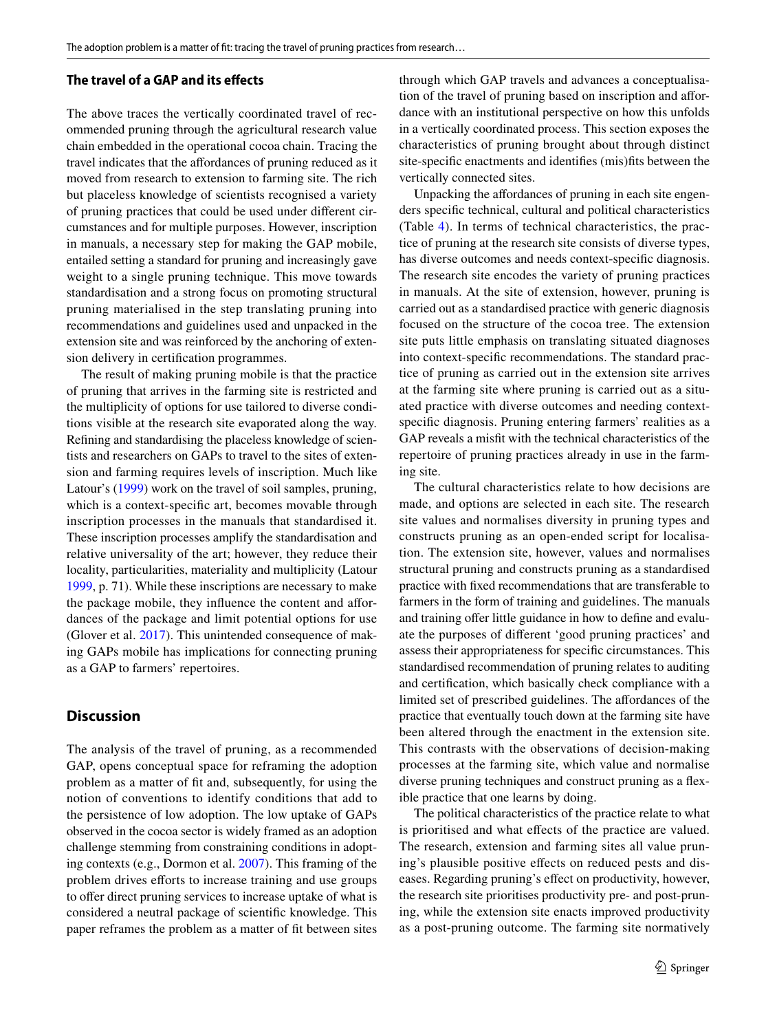#### **The travel of a GAP and its efects**

The above traces the vertically coordinated travel of recommended pruning through the agricultural research value chain embedded in the operational cocoa chain. Tracing the travel indicates that the afordances of pruning reduced as it moved from research to extension to farming site. The rich but placeless knowledge of scientists recognised a variety of pruning practices that could be used under diferent circumstances and for multiple purposes. However, inscription in manuals, a necessary step for making the GAP mobile, entailed setting a standard for pruning and increasingly gave weight to a single pruning technique. This move towards standardisation and a strong focus on promoting structural pruning materialised in the step translating pruning into recommendations and guidelines used and unpacked in the extension site and was reinforced by the anchoring of extension delivery in certifcation programmes.

The result of making pruning mobile is that the practice of pruning that arrives in the farming site is restricted and the multiplicity of options for use tailored to diverse conditions visible at the research site evaporated along the way. Refning and standardising the placeless knowledge of scientists and researchers on GAPs to travel to the sites of extension and farming requires levels of inscription. Much like Latour's [\(1999](#page-14-7)) work on the travel of soil samples, pruning, which is a context-specifc art, becomes movable through inscription processes in the manuals that standardised it. These inscription processes amplify the standardisation and relative universality of the art; however, they reduce their locality, particularities, materiality and multiplicity (Latour [1999,](#page-14-7) p. 71). While these inscriptions are necessary to make the package mobile, they infuence the content and afordances of the package and limit potential options for use (Glover et al. [2017](#page-13-7)). This unintended consequence of making GAPs mobile has implications for connecting pruning as a GAP to farmers' repertoires.

## **Discussion**

The analysis of the travel of pruning, as a recommended GAP, opens conceptual space for reframing the adoption problem as a matter of ft and, subsequently, for using the notion of conventions to identify conditions that add to the persistence of low adoption. The low uptake of GAPs observed in the cocoa sector is widely framed as an adoption challenge stemming from constraining conditions in adopting contexts (e.g., Dormon et al. [2007](#page-13-3)). This framing of the problem drives efforts to increase training and use groups to offer direct pruning services to increase uptake of what is considered a neutral package of scientifc knowledge. This paper reframes the problem as a matter of ft between sites through which GAP travels and advances a conceptualisation of the travel of pruning based on inscription and afordance with an institutional perspective on how this unfolds in a vertically coordinated process. This section exposes the characteristics of pruning brought about through distinct site-specifc enactments and identifes (mis)fts between the vertically connected sites.

Unpacking the affordances of pruning in each site engenders specifc technical, cultural and political characteristics (Table [4](#page-11-0)). In terms of technical characteristics, the practice of pruning at the research site consists of diverse types, has diverse outcomes and needs context-specifc diagnosis. The research site encodes the variety of pruning practices in manuals. At the site of extension, however, pruning is carried out as a standardised practice with generic diagnosis focused on the structure of the cocoa tree. The extension site puts little emphasis on translating situated diagnoses into context-specifc recommendations. The standard practice of pruning as carried out in the extension site arrives at the farming site where pruning is carried out as a situated practice with diverse outcomes and needing contextspecifc diagnosis. Pruning entering farmers' realities as a GAP reveals a misft with the technical characteristics of the repertoire of pruning practices already in use in the farming site.

The cultural characteristics relate to how decisions are made, and options are selected in each site. The research site values and normalises diversity in pruning types and constructs pruning as an open-ended script for localisation. The extension site, however, values and normalises structural pruning and constructs pruning as a standardised practice with fxed recommendations that are transferable to farmers in the form of training and guidelines. The manuals and training offer little guidance in how to define and evaluate the purposes of diferent 'good pruning practices' and assess their appropriateness for specifc circumstances. This standardised recommendation of pruning relates to auditing and certifcation, which basically check compliance with a limited set of prescribed guidelines. The afordances of the practice that eventually touch down at the farming site have been altered through the enactment in the extension site. This contrasts with the observations of decision-making processes at the farming site, which value and normalise diverse pruning techniques and construct pruning as a fexible practice that one learns by doing.

The political characteristics of the practice relate to what is prioritised and what efects of the practice are valued. The research, extension and farming sites all value pruning's plausible positive effects on reduced pests and diseases. Regarding pruning's efect on productivity, however, the research site prioritises productivity pre- and post-pruning, while the extension site enacts improved productivity as a post-pruning outcome. The farming site normatively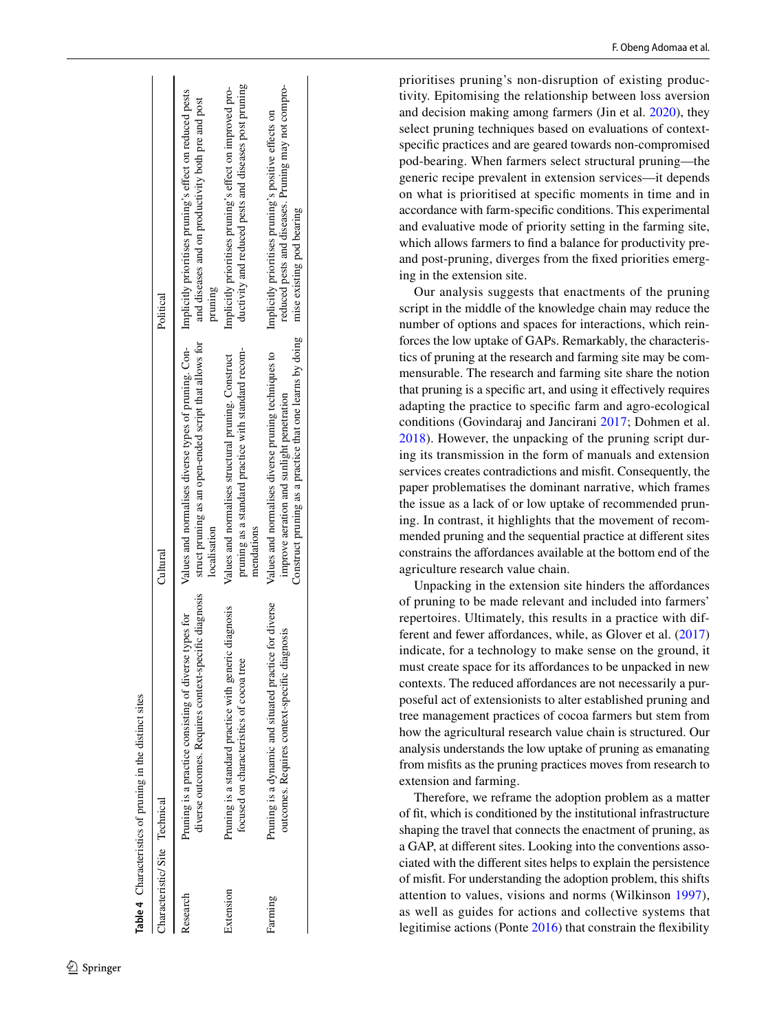| Table 4 Characteristics of pruning in the distinct sites | Political<br>Cultural         | Values and normalises diverse types of pruning. Con-Implicitly prioritises pruning's effect on reduced pests<br>and diseases and on productivity both pre and post<br>pruning<br>struct pruning as an open-ended script that allows for<br>localisation<br>diverse outcomes. Requires context-specific diagnosis<br>Pruning is a practice consisting of diverse types for | ductivity and reduced pests and diseases post pruning<br>Implicitly prioritises pruning's effect on improved pro-<br>pruning as a standard practice with standard recom-<br>Values and normalises structural pruning. Construct<br>mendations<br>Pruning is a standard practice with generic diagnosis<br>focused on characteristics of cocoa tre | reduced pests and diseases. Pruning may not compro-<br>Implicitly prioritises pruning's positive effects on<br>mise existing pod bearing<br>Construct pruning as a practice that one learns by doing<br>Values and normalises diverse pruning techniques to<br>improve aeration and sunlight penetration<br>Pruning is a dynamic and situated practice for diverse<br>outcomes. Requires context-specific diagnosis |
|----------------------------------------------------------|-------------------------------|---------------------------------------------------------------------------------------------------------------------------------------------------------------------------------------------------------------------------------------------------------------------------------------------------------------------------------------------------------------------------|---------------------------------------------------------------------------------------------------------------------------------------------------------------------------------------------------------------------------------------------------------------------------------------------------------------------------------------------------|---------------------------------------------------------------------------------------------------------------------------------------------------------------------------------------------------------------------------------------------------------------------------------------------------------------------------------------------------------------------------------------------------------------------|
|                                                          | Characteristic/Site Technical |                                                                                                                                                                                                                                                                                                                                                                           |                                                                                                                                                                                                                                                                                                                                                   |                                                                                                                                                                                                                                                                                                                                                                                                                     |
|                                                          |                               | Research                                                                                                                                                                                                                                                                                                                                                                  | Extension                                                                                                                                                                                                                                                                                                                                         | Farming                                                                                                                                                                                                                                                                                                                                                                                                             |

<span id="page-11-0"></span>

prioritises pruning's non-disruption of existing produc tivity. Epitomising the relationship between loss aversion and decision making among farmers (Jin et al. [2020](#page-13-22)), they select pruning techniques based on evaluations of contextspecifc practices and are geared towards non-compromised pod-bearing. When farmers select structural pruning—the generic recipe prevalent in extension services—it depends on what is prioritised at specifc moments in time and in accordance with farm-specifc conditions. This experimental and evaluative mode of priority setting in the farming site, which allows farmers to fnd a balance for productivity preand post-pruning, diverges from the fxed priorities emerging in the extension site.

Our analysis suggests that enactments of the pruning script in the middle of the knowledge chain may reduce the number of options and spaces for interactions, which rein forces the low uptake of GAPs. Remarkably, the characteris tics of pruning at the research and farming site may be com mensurable. The research and farming site share the notion that pruning is a specifc art, and using it efectively requires adapting the practice to specifc farm and agro-ecological conditions (Govindaraj and Jancirani [2017;](#page-13-15) Dohmen et al. [2018\)](#page-13-21). However, the unpacking of the pruning script dur ing its transmission in the form of manuals and extension services creates contradictions and misft. Consequently, the paper problematises the dominant narrative, which frames the issue as a lack of or low uptake of recommended prun ing. In contrast, it highlights that the movement of recom mended pruning and the sequential practice at diferent sites constrains the afordances available at the bottom end of the agriculture research value chain.

Unpacking in the extension site hinders the afordances of pruning to be made relevant and included into farmers' repertoires. Ultimately, this results in a practice with dif - ferent and fewer affordances, while, as Glover et al. ([2017\)](#page-13-7) indicate, for a technology to make sense on the ground, it must create space for its affordances to be unpacked in new contexts. The reduced affordances are not necessarily a purposeful act of extensionists to alter established pruning and tree management practices of cocoa farmers but stem from how the agricultural research value chain is structured. Our analysis understands the low uptake of pruning as emanating from misfts as the pruning practices moves from research to extension and farming.

Therefore, we reframe the adoption problem as a matter of ft, which is conditioned by the institutional infrastructure shaping the travel that connects the enactment of pruning, as a GAP, at diferent sites. Looking into the conventions asso ciated with the diferent sites helps to explain the persistence of misft. For understanding the adoption problem, this shifts attention to values, visions and norms (Wilkinson [1997](#page-14-13)), as well as guides for actions and collective systems that legitimise actions (Ponte [2016\)](#page-14-10) that constrain the fexibility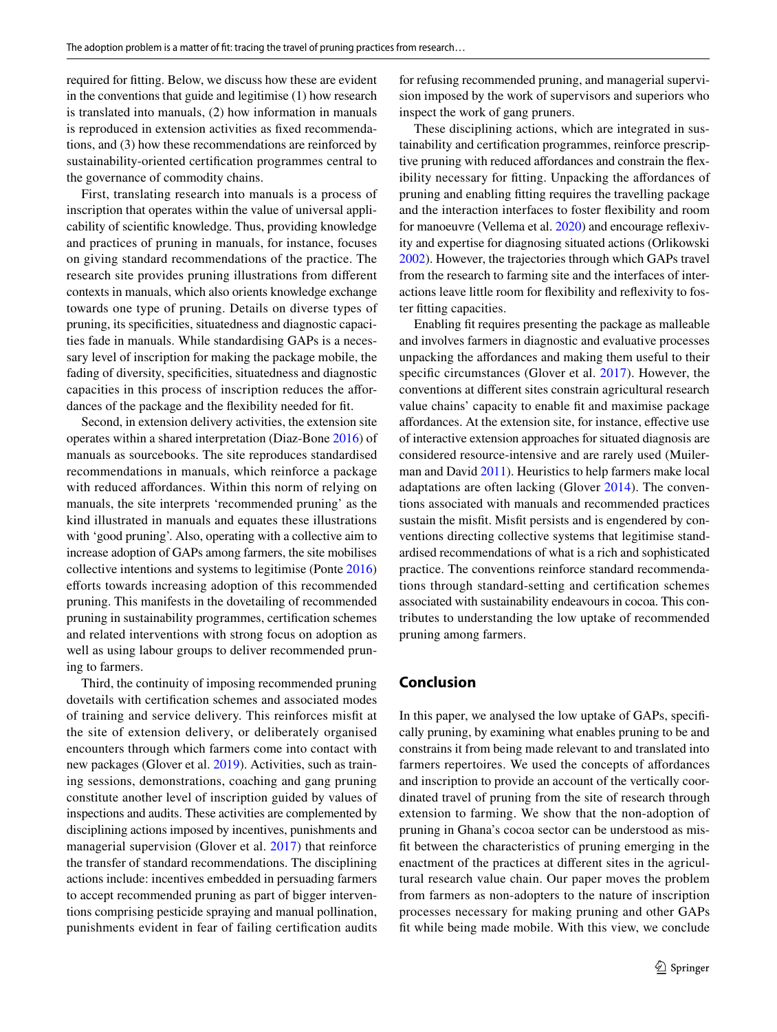required for ftting. Below, we discuss how these are evident in the conventions that guide and legitimise (1) how research is translated into manuals, (2) how information in manuals is reproduced in extension activities as fxed recommendations, and (3) how these recommendations are reinforced by sustainability-oriented certifcation programmes central to the governance of commodity chains.

First, translating research into manuals is a process of inscription that operates within the value of universal applicability of scientifc knowledge. Thus, providing knowledge and practices of pruning in manuals, for instance, focuses on giving standard recommendations of the practice. The research site provides pruning illustrations from diferent contexts in manuals, which also orients knowledge exchange towards one type of pruning. Details on diverse types of pruning, its specifcities, situatedness and diagnostic capacities fade in manuals. While standardising GAPs is a necessary level of inscription for making the package mobile, the fading of diversity, specifcities, situatedness and diagnostic capacities in this process of inscription reduces the afordances of the package and the fexibility needed for ft.

Second, in extension delivery activities, the extension site operates within a shared interpretation (Diaz-Bone [2016](#page-13-9)) of manuals as sourcebooks. The site reproduces standardised recommendations in manuals, which reinforce a package with reduced affordances. Within this norm of relying on manuals, the site interprets 'recommended pruning' as the kind illustrated in manuals and equates these illustrations with 'good pruning'. Also, operating with a collective aim to increase adoption of GAPs among farmers, the site mobilises collective intentions and systems to legitimise (Ponte [2016\)](#page-14-10) efforts towards increasing adoption of this recommended pruning. This manifests in the dovetailing of recommended pruning in sustainability programmes, certifcation schemes and related interventions with strong focus on adoption as well as using labour groups to deliver recommended pruning to farmers.

Third, the continuity of imposing recommended pruning dovetails with certifcation schemes and associated modes of training and service delivery. This reinforces misft at the site of extension delivery, or deliberately organised encounters through which farmers come into contact with new packages (Glover et al. [2019\)](#page-13-4). Activities, such as training sessions, demonstrations, coaching and gang pruning constitute another level of inscription guided by values of inspections and audits. These activities are complemented by disciplining actions imposed by incentives, punishments and managerial supervision (Glover et al. [2017\)](#page-13-7) that reinforce the transfer of standard recommendations. The disciplining actions include: incentives embedded in persuading farmers to accept recommended pruning as part of bigger interventions comprising pesticide spraying and manual pollination, punishments evident in fear of failing certifcation audits for refusing recommended pruning, and managerial supervision imposed by the work of supervisors and superiors who inspect the work of gang pruners.

These disciplining actions, which are integrated in sustainability and certifcation programmes, reinforce prescriptive pruning with reduced affordances and constrain the flexibility necessary for fitting. Unpacking the affordances of pruning and enabling ftting requires the travelling package and the interaction interfaces to foster fexibility and room for manoeuvre (Vellema et al. [2020\)](#page-14-19) and encourage refexivity and expertise for diagnosing situated actions (Orlikowski [2002](#page-14-20)). However, the trajectories through which GAPs travel from the research to farming site and the interfaces of interactions leave little room for fexibility and refexivity to foster ftting capacities.

Enabling ft requires presenting the package as malleable and involves farmers in diagnostic and evaluative processes unpacking the afordances and making them useful to their specific circumstances (Glover et al. [2017\)](#page-13-7). However, the conventions at diferent sites constrain agricultural research value chains' capacity to enable ft and maximise package afordances. At the extension site, for instance, efective use of interactive extension approaches for situated diagnosis are considered resource-intensive and are rarely used (Muilerman and David [2011](#page-14-21)). Heuristics to help farmers make local adaptations are often lacking (Glover [2014\)](#page-13-23). The conventions associated with manuals and recommended practices sustain the misft. Misft persists and is engendered by conventions directing collective systems that legitimise standardised recommendations of what is a rich and sophisticated practice. The conventions reinforce standard recommendations through standard-setting and certifcation schemes associated with sustainability endeavours in cocoa. This contributes to understanding the low uptake of recommended pruning among farmers.

## **Conclusion**

In this paper, we analysed the low uptake of GAPs, specifcally pruning, by examining what enables pruning to be and constrains it from being made relevant to and translated into farmers repertoires. We used the concepts of affordances and inscription to provide an account of the vertically coordinated travel of pruning from the site of research through extension to farming. We show that the non-adoption of pruning in Ghana's cocoa sector can be understood as misft between the characteristics of pruning emerging in the enactment of the practices at diferent sites in the agricultural research value chain. Our paper moves the problem from farmers as non-adopters to the nature of inscription processes necessary for making pruning and other GAPs ft while being made mobile. With this view, we conclude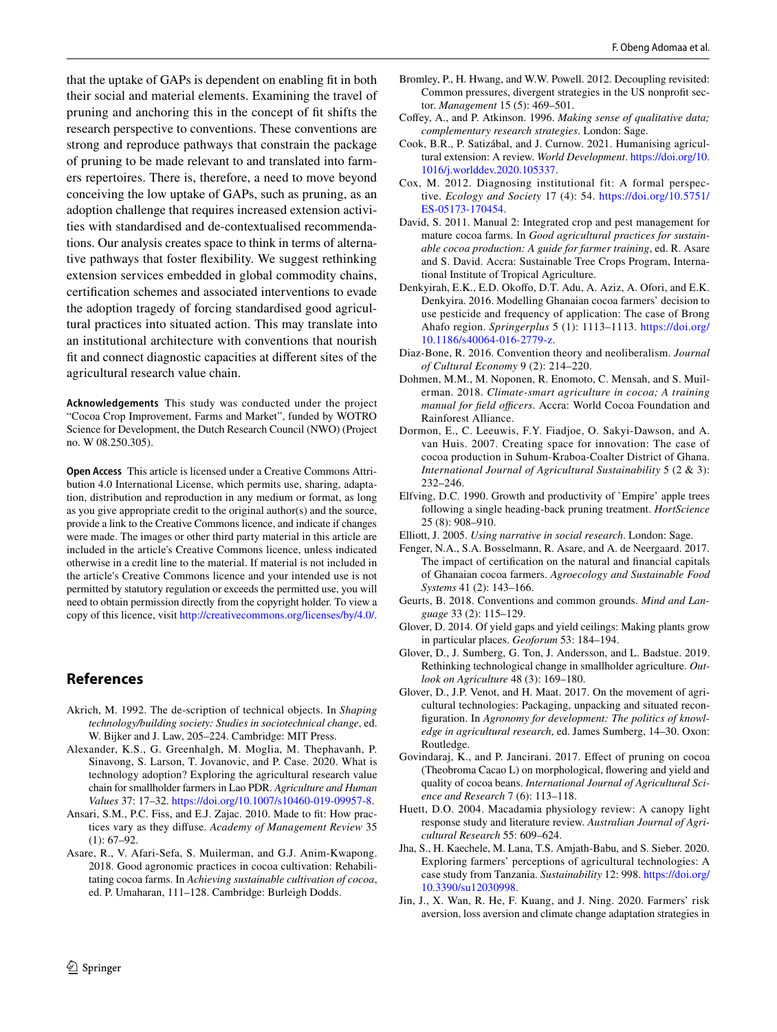that the uptake of GAPs is dependent on enabling ft in both their social and material elements. Examining the travel of pruning and anchoring this in the concept of ft shifts the research perspective to conventions. These conventions are strong and reproduce pathways that constrain the package of pruning to be made relevant to and translated into farmers repertoires. There is, therefore, a need to move beyond conceiving the low uptake of GAPs, such as pruning, as an adoption challenge that requires increased extension activities with standardised and de-contextualised recommendations. Our analysis creates space to think in terms of alternative pathways that foster fexibility. We suggest rethinking extension services embedded in global commodity chains, certifcation schemes and associated interventions to evade the adoption tragedy of forcing standardised good agricultural practices into situated action. This may translate into an institutional architecture with conventions that nourish ft and connect diagnostic capacities at diferent sites of the agricultural research value chain.

**Acknowledgements** This study was conducted under the project "Cocoa Crop Improvement, Farms and Market", funded by WOTRO Science for Development, the Dutch Research Council (NWO) (Project no. W 08.250.305).

**Open Access** This article is licensed under a Creative Commons Attribution 4.0 International License, which permits use, sharing, adaptation, distribution and reproduction in any medium or format, as long as you give appropriate credit to the original author(s) and the source, provide a link to the Creative Commons licence, and indicate if changes were made. The images or other third party material in this article are included in the article's Creative Commons licence, unless indicated otherwise in a credit line to the material. If material is not included in the article's Creative Commons licence and your intended use is not permitted by statutory regulation or exceeds the permitted use, you will need to obtain permission directly from the copyright holder. To view a copy of this licence, visit <http://creativecommons.org/licenses/by/4.0/>.

## **References**

- <span id="page-13-6"></span>Akrich, M. 1992. The de-scription of technical objects. In *Shaping technology/building society: Studies in sociotechnical change*, ed. W. Bijker and J. Law, 205–224. Cambridge: MIT Press.
- <span id="page-13-1"></span>Alexander, K.S., G. Greenhalgh, M. Moglia, M. Thephavanh, P. Sinavong, S. Larson, T. Jovanovic, and P. Case. 2020. What is technology adoption? Exploring the agricultural research value chain for smallholder farmers in Lao PDR. *Agriculture and Human Values* 37: 17–32. <https://doi.org/10.1007/s10460-019-09957-8>.
- <span id="page-13-8"></span>Ansari, S.M., P.C. Fiss, and E.J. Zajac. 2010. Made to ft: How practices vary as they difuse. *Academy of Management Review* 35 (1): 67–92.
- <span id="page-13-16"></span>Asare, R., V. Afari-Sefa, S. Muilerman, and G.J. Anim-Kwapong. 2018. Good agronomic practices in cocoa cultivation: Rehabilitating cocoa farms. In *Achieving sustainable cultivation of cocoa*, ed. P. Umaharan, 111–128. Cambridge: Burleigh Dodds.
- <span id="page-13-10"></span>Bromley, P., H. Hwang, and W.W. Powell. 2012. Decoupling revisited: Common pressures, divergent strategies in the US nonproft sector. *Management* 15 (5): 469–501.
- <span id="page-13-18"></span>Coffey, A., and P. Atkinson. 1996. *Making sense of qualitative data*; *complementary research strategies*. London: Sage.
- <span id="page-13-5"></span>Cook, B.R., P. Satizábal, and J. Curnow. 2021. Humanising agricultural extension: A review. *World Development*. [https://doi.org/10.](https://doi.org/10.1016/j.worlddev.2020.105337) [1016/j.worlddev.2020.105337.](https://doi.org/10.1016/j.worlddev.2020.105337)
- <span id="page-13-11"></span>Cox, M. 2012. Diagnosing institutional fit: A formal perspective. *Ecology and Society* 17 (4): 54. [https://doi.org/10.5751/](https://doi.org/10.5751/ES-05173-170454) [ES-05173-170454](https://doi.org/10.5751/ES-05173-170454).
- <span id="page-13-20"></span>David, S. 2011. Manual 2: Integrated crop and pest management for mature cocoa farms. In *Good agricultural practices for sustainable cocoa production: A guide for farmer training*, ed. R. Asare and S. David. Accra: Sustainable Tree Crops Program, International Institute of Tropical Agriculture.
- <span id="page-13-17"></span>Denkyirah, E.K., E.D. Okoffo, D.T. Adu, A. Aziz, A. Ofori, and E.K. Denkyira. 2016. Modelling Ghanaian cocoa farmers' decision to use pesticide and frequency of application: The case of Brong Ahafo region. *Springerplus* 5 (1): 1113–1113. [https://doi.org/](https://doi.org/10.1186/s40064-016-2779-z) [10.1186/s40064-016-2779-z.](https://doi.org/10.1186/s40064-016-2779-z)
- <span id="page-13-9"></span>Diaz-Bone, R. 2016. Convention theory and neoliberalism. *Journal of Cultural Economy* 9 (2): 214–220.
- <span id="page-13-21"></span>Dohmen, M.M., M. Noponen, R. Enomoto, C. Mensah, and S. Muilerman. 2018. *Climate-smart agriculture in cocoa; A training*  manual for field officers. Accra: World Cocoa Foundation and Rainforest Alliance.
- <span id="page-13-3"></span>Dormon, E., C. Leeuwis, F.Y. Fiadjoe, O. Sakyi-Dawson, and A. van Huis. 2007. Creating space for innovation: The case of cocoa production in Suhum-Kraboa-Coalter District of Ghana. *International Journal of Agricultural Sustainability* 5 (2 & 3): 232–246.
- <span id="page-13-13"></span>Elfving, D.C. 1990. Growth and productivity of `Empire' apple trees following a single heading-back pruning treatment. *HortScience* 25 (8): 908–910.
- <span id="page-13-19"></span>Elliott, J. 2005. *Using narrative in social research*. London: Sage.
- <span id="page-13-2"></span>Fenger, N.A., S.A. Bosselmann, R. Asare, and A. de Neergaard. 2017. The impact of certifcation on the natural and fnancial capitals of Ghanaian cocoa farmers. *Agroecology and Sustainable Food Systems* 41 (2): 143–166.
- <span id="page-13-12"></span>Geurts, B. 2018. Conventions and common grounds. *Mind and Language* 33 (2): 115–129.
- <span id="page-13-23"></span>Glover, D. 2014. Of yield gaps and yield ceilings: Making plants grow in particular places. *Geoforum* 53: 184–194.
- <span id="page-13-4"></span>Glover, D., J. Sumberg, G. Ton, J. Andersson, and L. Badstue. 2019. Rethinking technological change in smallholder agriculture. *Outlook on Agriculture* 48 (3): 169–180.
- <span id="page-13-7"></span>Glover, D., J.P. Venot, and H. Maat. 2017. On the movement of agricultural technologies: Packaging, unpacking and situated reconfguration. In *Agronomy for development: The politics of knowledge in agricultural research*, ed. James Sumberg, 14–30. Oxon: Routledge.
- <span id="page-13-15"></span>Govindaraj, K., and P. Jancirani. 2017. Efect of pruning on cocoa (Theobroma Cacao L) on morphological, fowering and yield and quality of cocoa beans. *International Journal of Agricultural Science and Research* 7 (6): 113–118.
- <span id="page-13-14"></span>Huett, D.O. 2004. Macadamia physiology review: A canopy light response study and literature review. *Australian Journal of Agricultural Research* 55: 609–624.
- <span id="page-13-0"></span>Jha, S., H. Kaechele, M. Lana, T.S. Amjath-Babu, and S. Sieber. 2020. Exploring farmers' perceptions of agricultural technologies: A case study from Tanzania. *Sustainability* 12: 998. [https://doi.org/](https://doi.org/10.3390/su12030998) [10.3390/su12030998](https://doi.org/10.3390/su12030998).
- <span id="page-13-22"></span>Jin, J., X. Wan, R. He, F. Kuang, and J. Ning. 2020. Farmers' risk aversion, loss aversion and climate change adaptation strategies in